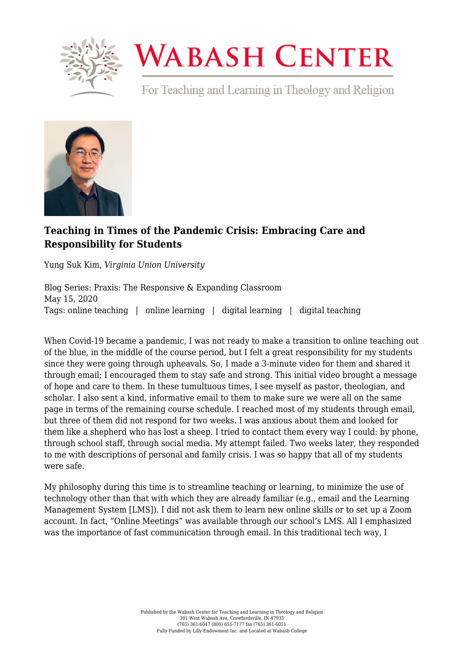

## **WABASH CENTER**

For Teaching and Learning in Theology and Religion



## **[Teaching in Times of the Pandemic Crisis: Embracing Care and](https://www.wabashcenter.wabash.edu/2020/05/teaching-in-times-of-the-pandemic-crisis-embracing-care-and-responsibility-for-students/) [Responsibility for Students](https://www.wabashcenter.wabash.edu/2020/05/teaching-in-times-of-the-pandemic-crisis-embracing-care-and-responsibility-for-students/)**

Yung Suk Kim, *Virginia Union University*

Blog Series: Praxis: The Responsive & Expanding Classroom May 15, 2020 Tags: online teaching | online learning | digital learning | digital teaching

When Covid-19 became a pandemic, I was not ready to make a transition to online teaching out of the blue, in the middle of the course period, but I felt a great responsibility for my students since they were going through upheavals. So, I made a 3-minute video for them and shared it through email; I encouraged them to stay safe and strong. This initial video brought a message of hope and care to them. In these tumultuous times, I see myself as pastor, theologian, and scholar. I also sent a kind, informative email to them to make sure we were all on the same page in terms of the remaining course schedule. I reached most of my students through email, but three of them did not respond for two weeks. I was anxious about them and looked for them like a shepherd who has lost a sheep. I tried to contact them every way I could: by phone, through school staff, through social media. My attempt failed. Two weeks later, they responded to me with descriptions of personal and family crisis. I was so happy that all of my students were safe.

My philosophy during this time is to streamline teaching or learning, to minimize the use of technology other than that with which they are already familiar (e.g., email and the Learning Management System [LMS]). I did not ask them to learn new online skills or to set up a Zoom account. In fact, "Online Meetings" was available through our school's LMS. All I emphasized was the importance of fast communication through email. In this traditional tech way, I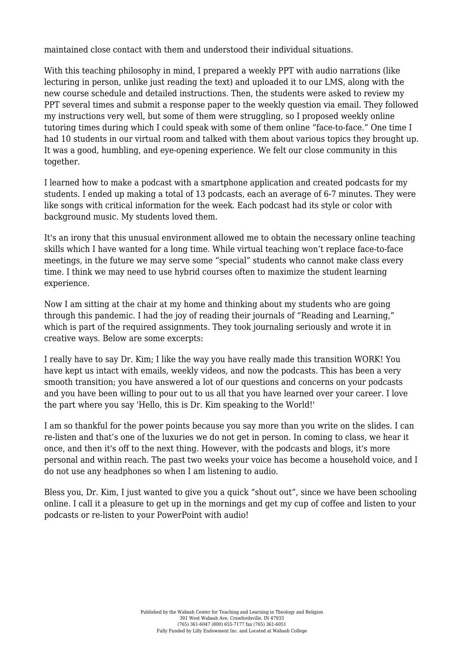maintained close contact with them and understood their individual situations.

With this teaching philosophy in mind, I prepared a weekly PPT with audio narrations (like lecturing in person, unlike just reading the text) and uploaded it to our LMS, along with the new course schedule and detailed instructions. Then, the students were asked to review my PPT several times and submit a response paper to the weekly question via email. They followed my instructions very well, but some of them were struggling, so I proposed weekly online tutoring times during which I could speak with some of them online "face-to-face." One time I had 10 students in our virtual room and talked with them about various topics they brought up. It was a good, humbling, and eye-opening experience. We felt our close community in this together.

I learned how to make a podcast with a smartphone application and created podcasts for my students. I ended up making a total of 13 podcasts, each an average of 6-7 minutes. They were like songs with critical information for the week. Each podcast had its style or color with background music. My students loved them.

It's an irony that this unusual environment allowed me to obtain the necessary online teaching skills which I have wanted for a long time. While virtual teaching won't replace face-to-face meetings, in the future we may serve some "special" students who cannot make class every time. I think we may need to use hybrid courses often to maximize the student learning experience.

Now I am sitting at the chair at my home and thinking about my students who are going through this pandemic. I had the joy of reading their journals of "Reading and Learning," which is part of the required assignments. They took journaling seriously and wrote it in creative ways. Below are some excerpts:

I really have to say Dr. Kim; I like the way you have really made this transition WORK! You have kept us intact with emails, weekly videos, and now the podcasts. This has been a very smooth transition; you have answered a lot of our questions and concerns on your podcasts and you have been willing to pour out to us all that you have learned over your career. I love the part where you say 'Hello, this is Dr. Kim speaking to the World!'

I am so thankful for the power points because you say more than you write on the slides. I can re-listen and that's one of the luxuries we do not get in person. In coming to class, we hear it once, and then it's off to the next thing. However, with the podcasts and blogs, it's more personal and within reach. The past two weeks your voice has become a household voice, and I do not use any headphones so when I am listening to audio.

Bless you, Dr. Kim, I just wanted to give you a quick "shout out", since we have been schooling online. I call it a pleasure to get up in the mornings and get my cup of coffee and listen to your podcasts or re-listen to your PowerPoint with audio!